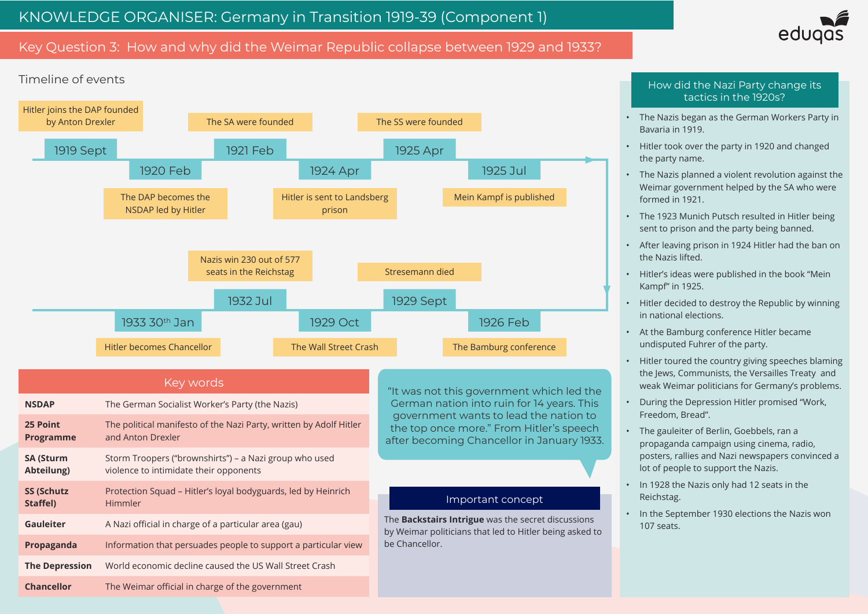# Key Question 3: How and why did the Weimar Republic collapse between 1929 and 1933?





• The Nazis began as the German Workers Party in Bavaria in 1919.

• Hitler took over the party in 1920 and changed the party name.

• The Nazis planned a violent revolution against the Weimar government helped by the SA who were formed in 1921.

• The 1923 Munich Putsch resulted in Hitler being sent to prison and the party being banned.

• After leaving prison in 1924 Hitler had the ban on the Nazis lifted.

• Hitler's ideas were published in the book "Mein Kampf" in 1925.

• Hitler decided to destroy the Republic by winning in national elections.

• At the Bamburg conference Hitler became undisputed Fuhrer of the party.

• Hitler toured the country giving speeches blaming the Jews, Communists, the Versailles Treaty and weak Weimar politicians for Germany's problems.

• During the Depression Hitler promised "Work, Freedom, Bread".

• The gauleiter of Berlin, Goebbels, ran a propaganda campaign using cinema, radio, posters, rallies and Nazi newspapers convinced a lot of people to support the Nazis.

• In 1928 the Nazis only had 12 seats in the Reichstag.

• In the September 1930 elections the Nazis won 107 seats.

#### How did the Nazi Party change its tactics in the 1920s?